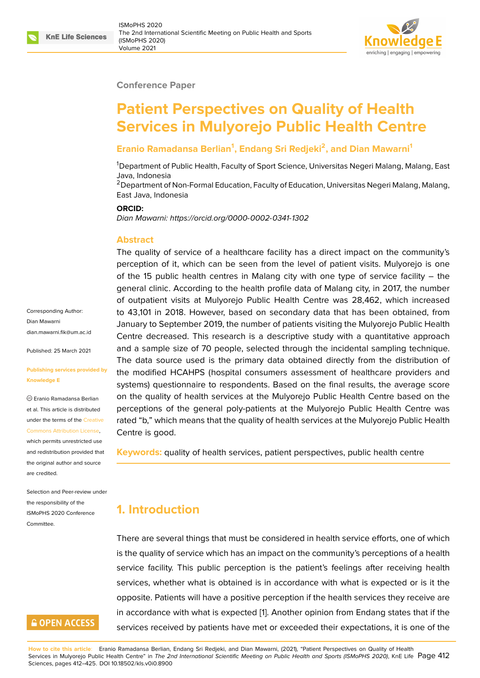#### **Conference Paper**

# **Patient Perspectives on Quality of Health Services in Mulyorejo Public Health Centre**

#### **Eranio Ramadansa Berlian<sup>1</sup> , Endang Sri Redjeki<sup>2</sup> , and Dian Mawarni<sup>1</sup>**

<sup>1</sup>Department of Public Health, Faculty of Sport Science, Universitas Negeri Malang, Malang, East Java, Indonesia

 $2$  Department of Non-Formal Education, Faculty of Education, Universitas Negeri Malang, Malang, East Java, Indonesia

#### **ORCID:**

*Dian Mawarni: https://orcid.org/0000-0002-0341-1302*

#### **Abstract**

The quality of service of a healthcare facility has a direct impact on the community's perception of [it, which can be seen from the lev](https://orcid.org/0000-0002-0341-1302)el of patient visits. Mulyorejo is one of the 15 public health centres in Malang city with one type of service facility – the general clinic. According to the health profile data of Malang city, in 2017, the number of outpatient visits at Mulyorejo Public Health Centre was 28,462, which increased to 43,101 in 2018. However, based on secondary data that has been obtained, from January to September 2019, the number of patients visiting the Mulyorejo Public Health Centre decreased. This research is a descriptive study with a quantitative approach and a sample size of 70 people, selected through the incidental sampling technique. The data source used is the primary data obtained directly from the distribution of the modified HCAHPS (hospital consumers assessment of healthcare providers and systems) questionnaire to respondents. Based on the final results, the average score on the quality of health services at the Mulyorejo Public Health Centre based on the perceptions of the general poly-patients at the Mulyorejo Public Health Centre was rated "b," which means that the quality of health services at the Mulyorejo Public Health Centre is good.

**Keywords:** quality of health services, patient perspectives, public health centre

# **1. Introduction**

There are several things that must be considered in health service efforts, one of which is the quality of service which has an impact on the community's perceptions of a health service facility. This public perception is the patient's feelings after receiving health services, whether what is obtained is in accordance with what is expected or is it the opposite. Patients will have a positive perception if the health services they receive are in accordance with what is expected [1]. Another opinion from Endang states that if the services received by patients have met or exceeded their expectations, it is one of the

**How to cite this article**: Eranio Ramadansa Berlian, Endang Sri Redjeki, and Dian Mawarni, (2021), "Patient Perspectives on Quality of Health Services in Mulyorejo Public Health Centre" in *The 2nd International Scientific Meetin[g](#page-12-0) on Public Health and Sports (ISMoPHS 2020)*, KnE Life Page 412 Sciences, pages 412–425. DOI 10.18502/kls.v0i0.8900

Corresponding Author: Dian Mawarni dian.mawarni.fik@um.ac.id

Published: 25 March 2021

#### **[Publishing services provid](mailto:dian.mawarni.fik@um.ac.id)ed by Knowledge E**

Eranio Ramadansa Berlian et al. This article is distributed under the terms of the Creative Commons Attribution License,

which permits unrestricted use and redistribution provided that the original author and [source](https://creativecommons.org/licenses/by/4.0/) [are credited.](https://creativecommons.org/licenses/by/4.0/)

Selection and Peer-review under the responsibility of the ISMoPHS 2020 Conference **Committee** 

# **GOPEN ACCESS**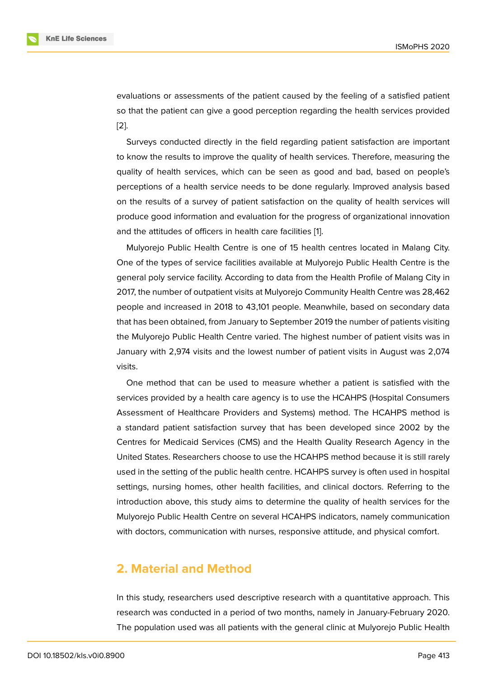evaluations or assessments of the patient caused by the feeling of a satisfied patient so that the patient can give a good perception regarding the health services provided [2].

Surveys conducted directly in the field regarding patient satisfaction are important to know the results to improve the quality of health services. Therefore, measuring the [qu](#page-12-1)ality of health services, which can be seen as good and bad, based on people's perceptions of a health service needs to be done regularly. Improved analysis based on the results of a survey of patient satisfaction on the quality of health services will produce good information and evaluation for the progress of organizational innovation and the attitudes of officers in health care facilities [1].

Mulyorejo Public Health Centre is one of 15 health centres located in Malang City. One of the types of service facilities available at Mulyorejo Public Health Centre is the general poly service facility. According to data from [th](#page-12-0)e Health Profile of Malang City in 2017, the number of outpatient visits at Mulyorejo Community Health Centre was 28,462 people and increased in 2018 to 43,101 people. Meanwhile, based on secondary data that has been obtained, from January to September 2019 the number of patients visiting the Mulyorejo Public Health Centre varied. The highest number of patient visits was in January with 2,974 visits and the lowest number of patient visits in August was 2,074 visits.

One method that can be used to measure whether a patient is satisfied with the services provided by a health care agency is to use the HCAHPS (Hospital Consumers Assessment of Healthcare Providers and Systems) method. The HCAHPS method is a standard patient satisfaction survey that has been developed since 2002 by the Centres for Medicaid Services (CMS) and the Health Quality Research Agency in the United States. Researchers choose to use the HCAHPS method because it is still rarely used in the setting of the public health centre. HCAHPS survey is often used in hospital settings, nursing homes, other health facilities, and clinical doctors. Referring to the introduction above, this study aims to determine the quality of health services for the Mulyorejo Public Health Centre on several HCAHPS indicators, namely communication with doctors, communication with nurses, responsive attitude, and physical comfort.

# **2. Material and Method**

In this study, researchers used descriptive research with a quantitative approach. This research was conducted in a period of two months, namely in January-February 2020. The population used was all patients with the general clinic at Mulyorejo Public Health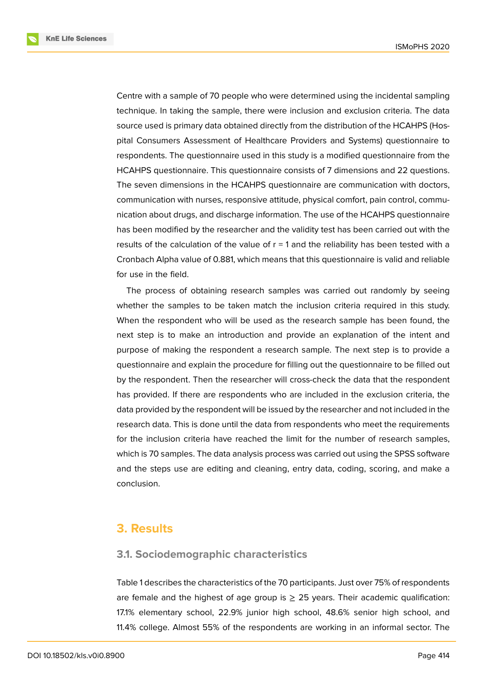**KnE Life Sciences** 



Centre with a sample of 70 people who were determined using the incidental sampling technique. In taking the sample, there were inclusion and exclusion criteria. The data source used is primary data obtained directly from the distribution of the HCAHPS (Hospital Consumers Assessment of Healthcare Providers and Systems) questionnaire to respondents. The questionnaire used in this study is a modified questionnaire from the HCAHPS questionnaire. This questionnaire consists of 7 dimensions and 22 questions. The seven dimensions in the HCAHPS questionnaire are communication with doctors, communication with nurses, responsive attitude, physical comfort, pain control, communication about drugs, and discharge information. The use of the HCAHPS questionnaire has been modified by the researcher and the validity test has been carried out with the results of the calculation of the value of  $r = 1$  and the reliability has been tested with a Cronbach Alpha value of 0.881, which means that this questionnaire is valid and reliable for use in the field.

The process of obtaining research samples was carried out randomly by seeing whether the samples to be taken match the inclusion criteria required in this study. When the respondent who will be used as the research sample has been found, the next step is to make an introduction and provide an explanation of the intent and purpose of making the respondent a research sample. The next step is to provide a questionnaire and explain the procedure for filling out the questionnaire to be filled out by the respondent. Then the researcher will cross-check the data that the respondent has provided. If there are respondents who are included in the exclusion criteria, the data provided by the respondent will be issued by the researcher and not included in the research data. This is done until the data from respondents who meet the requirements for the inclusion criteria have reached the limit for the number of research samples, which is 70 samples. The data analysis process was carried out using the SPSS software and the steps use are editing and cleaning, entry data, coding, scoring, and make a conclusion.

### **3. Results**

#### **3.1. Sociodemographic characteristics**

Table 1 describes the characteristics of the 70 participants. Just over 75% of respondents are female and the highest of age group is  $\geq$  25 years. Their academic qualification: 17.1% elementary school, 22.9% junior high school, 48.6% senior high school, and 11.4% college. Almost 55% of the respondents are working in an informal sector. The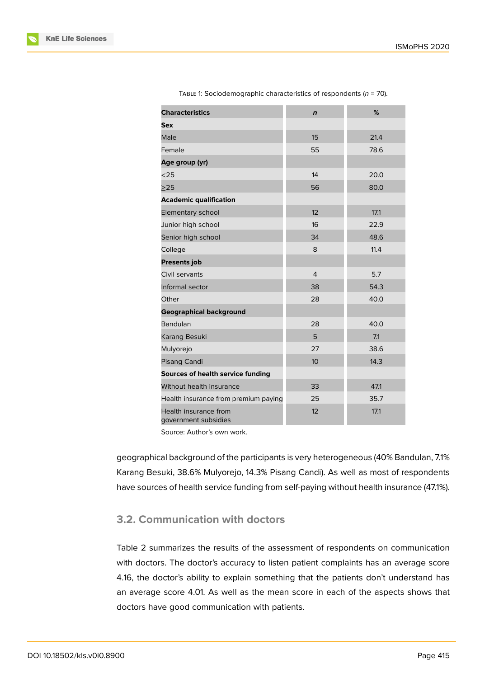| <b>Characteristics</b>                        | $\mathbf n$    | %    |
|-----------------------------------------------|----------------|------|
| Sex                                           |                |      |
| Male                                          | 15             | 21.4 |
| Female                                        | 55             | 78.6 |
| Age group (yr)                                |                |      |
| $25$                                          | 14             | 20.0 |
| >25                                           | 56             | 80.0 |
| <b>Academic qualification</b>                 |                |      |
| Elementary school                             | 12             | 17.1 |
| Junior high school                            | 16             | 22.9 |
| Senior high school                            | 34             | 48.6 |
| College                                       | 8              | 11.4 |
| <b>Presents job</b>                           |                |      |
| Civil servants                                | $\overline{4}$ | 5.7  |
| Informal sector                               | 38             | 54.3 |
| Other                                         | 28             | 40.0 |
| <b>Geographical background</b>                |                |      |
| <b>Bandulan</b>                               | 28             | 40.0 |
| Karang Besuki                                 | 5              | 7.1  |
| Mulyorejo                                     | 27             | 38.6 |
| Pisang Candi                                  | 10             | 14.3 |
| Sources of health service funding             |                |      |
| Without health insurance                      | 33             | 47.1 |
| Health insurance from premium paying          | 25             | 35.7 |
| Health insurance from<br>government subsidies | 12             | 17.1 |

TABLE 1: Sociodemographic characteristics of respondents (*n* = 70).

Source: Author's own work.

geographical background of the participants is very heterogeneous (40% Bandulan, 7.1% Karang Besuki, 38.6% Mulyorejo, 14.3% Pisang Candi). As well as most of respondents have sources of health service funding from self-paying without health insurance (47.1%).

# **3.2. Communication with doctors**

Table 2 summarizes the results of the assessment of respondents on communication with doctors. The doctor's accuracy to listen patient complaints has an average score 4.16, the doctor's ability to explain something that the patients don't understand has an average score 4.01. As well as the mean score in each of the aspects shows that doctors have good communication with patients.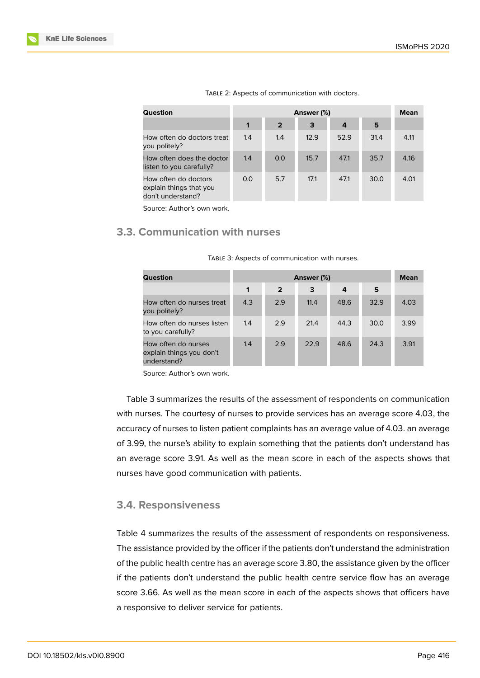| Question                                                             |     | <b>Mean</b>    |      |      |      |      |
|----------------------------------------------------------------------|-----|----------------|------|------|------|------|
|                                                                      | 1   | $\overline{2}$ | 3    | 4    | 5    |      |
| How often do doctors treat<br>you politely?                          | 1.4 | 1.4            | 12.9 | 52.9 | 31.4 | 4.11 |
| How often does the doctor<br>listen to you carefully?                | 1.4 | 0.0            | 15.7 | 47.1 | 35.7 | 4.16 |
| How often do doctors<br>explain things that you<br>don't understand? | 0.0 | 5.7            | 17.1 | 47.1 | 30.0 | 4.01 |

|  | TABLE 2: Aspects of communication with doctors. |  |
|--|-------------------------------------------------|--|
|--|-------------------------------------------------|--|

Source: Author's own work.

### **3.3. Communication with nurses**

| Question                                                       |     | Answer (%)     |      |      |      |      |  |
|----------------------------------------------------------------|-----|----------------|------|------|------|------|--|
|                                                                | 1   | $\overline{2}$ | 3    | 4    | 5    |      |  |
| How often do nurses treat<br>you politely?                     | 4.3 | 2.9            | 11.4 | 48.6 | 32.9 | 4.03 |  |
| How often do nurses listen<br>to you carefully?                | 1.4 | 2.9            | 21.4 | 44.3 | 30.0 | 3.99 |  |
| How often do nurses<br>explain things you don't<br>understand? | 1.4 | 2.9            | 22.9 | 48.6 | 24.3 | 3.91 |  |

| TABLE 3: Aspects of communication with nurses. |  |  |  |  |
|------------------------------------------------|--|--|--|--|
|------------------------------------------------|--|--|--|--|

Source: Author's own work.

Table 3 summarizes the results of the assessment of respondents on communication with nurses. The courtesy of nurses to provide services has an average score 4.03, the accuracy of nurses to listen patient complaints has an average value of 4.03. an average of 3.99, the nurse's ability to explain something that the patients don't understand has an average score 3.91. As well as the mean score in each of the aspects shows that nurses have good communication with patients.

#### **3.4. Responsiveness**

Table 4 summarizes the results of the assessment of respondents on responsiveness. The assistance provided by the officer if the patients don't understand the administration of the public health centre has an average score 3.80, the assistance given by the officer if the patients don't understand the public health centre service flow has an average score 3.66. As well as the mean score in each of the aspects shows that officers have a responsive to deliver service for patients.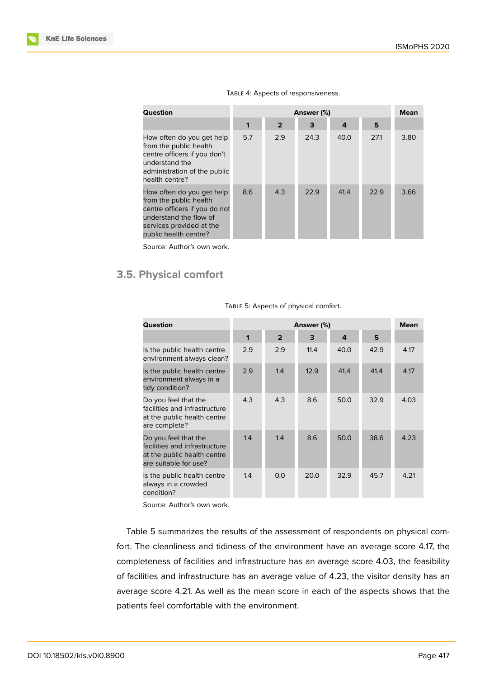| Question                                                                                                                                                            | Answer (%) |                |      |      |      | <b>Mean</b> |
|---------------------------------------------------------------------------------------------------------------------------------------------------------------------|------------|----------------|------|------|------|-------------|
|                                                                                                                                                                     | 1          | $\overline{2}$ | 3    | 4    | 5    |             |
| How often do you get help<br>from the public health<br>centre officers if you don't<br>understand the<br>administration of the public<br>health centre?             | 5.7        | 2.9            | 24.3 | 40.0 | 27.1 | 3.80        |
| How often do you get help<br>from the public health<br>centre officers if you do not<br>understand the flow of<br>services provided at the<br>public health centre? | 8.6        | 4.3            | 22.9 | 41.4 | 22.9 | 3.66        |

#### TABLE 4: Aspects of responsiveness.

Source: Author's own work.

# **3.5. Physical comfort**

| Question                                                                                                      | Answer (%)   |                |      |      |      | <b>Mean</b> |
|---------------------------------------------------------------------------------------------------------------|--------------|----------------|------|------|------|-------------|
|                                                                                                               | $\mathbf{1}$ | $\overline{2}$ | 3    | 4    | 5    |             |
| Is the public health centre<br>environment always clean?                                                      | 2.9          | 2.9            | 11.4 | 40.0 | 42.9 | 4.17        |
| Is the public health centre<br>environment always in a<br>tidy condition?                                     | 2.9          | 1.4            | 12.9 | 41.4 | 41.4 | 4.17        |
| Do you feel that the<br>facilities and infrastructure<br>at the public health centre<br>are complete?         | 4.3          | 4.3            | 8.6  | 50.0 | 32.9 | 4.03        |
| Do you feel that the<br>facilities and infrastructure<br>at the public health centre<br>are suitable for use? | 1.4          | 1.4            | 8.6  | 50.0 | 38.6 | 4.23        |
| Is the public health centre<br>always in a crowded<br>condition?                                              | 1.4          | 0.0            | 20.0 | 32.9 | 45.7 | 4.21        |

TABLE 5: Aspects of physical comfort.

Source: Author's own work.

Table 5 summarizes the results of the assessment of respondents on physical comfort. The cleanliness and tidiness of the environment have an average score 4.17, the completeness of facilities and infrastructure has an average score 4.03, the feasibility of facilities and infrastructure has an average value of 4.23, the visitor density has an average score 4.21. As well as the mean score in each of the aspects shows that the patients feel comfortable with the environment.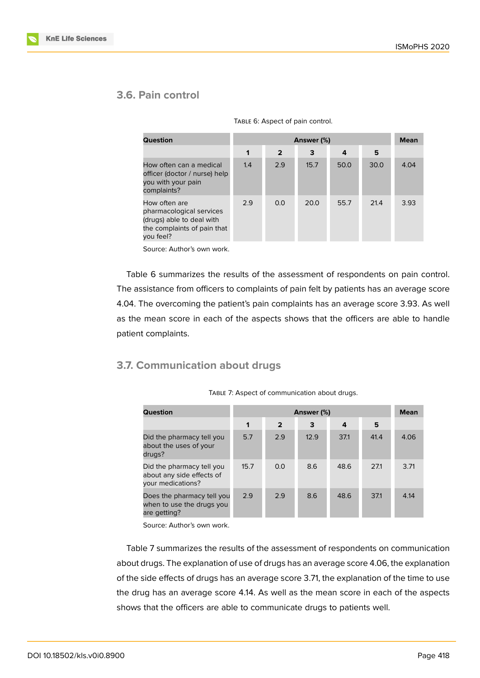# **3.6. Pain control**

| <b>Question</b>                                                                                                    |     | Answer (%)     |      |      |      |      |  |
|--------------------------------------------------------------------------------------------------------------------|-----|----------------|------|------|------|------|--|
|                                                                                                                    | 1   | $\overline{2}$ | 3    | 4    | 5    |      |  |
| How often can a medical<br>officer (doctor / nurse) help<br>you with your pain<br>complaints?                      | 1.4 | 2.9            | 15.7 | 50.0 | 30.0 | 4.04 |  |
| How often are<br>pharmacological services<br>(drugs) able to deal with<br>the complaints of pain that<br>you feel? | 2.9 | 0.0            | 20.0 | 55.7 | 21.4 | 3.93 |  |

TABLE 6: Aspect of pain control.

Source: Author's own work.

Table 6 summarizes the results of the assessment of respondents on pain control. The assistance from officers to complaints of pain felt by patients has an average score 4.04. The overcoming the patient's pain complaints has an average score 3.93. As well as the mean score in each of the aspects shows that the officers are able to handle patient complaints.

### **3.7. Communication about drugs**

| Question                                                                    |      | Answer (%)     |      |      |      |      |  |
|-----------------------------------------------------------------------------|------|----------------|------|------|------|------|--|
|                                                                             | 1    | $\overline{2}$ | 3    | 4    | 5    |      |  |
| Did the pharmacy tell you<br>about the uses of your<br>drugs?               | 5.7  | 2.9            | 12.9 | 37.1 | 41.4 | 4.06 |  |
| Did the pharmacy tell you<br>about any side effects of<br>your medications? | 15.7 | 0.0            | 8.6  | 48.6 | 27.1 | 3.71 |  |
| Does the pharmacy tell you<br>when to use the drugs you<br>are getting?     | 2.9  | 2.9            | 8.6  | 48.6 | 37.1 | 4.14 |  |

TABLE 7: Aspect of communication about drugs.

Source: Author's own work.

Table 7 summarizes the results of the assessment of respondents on communication about drugs. The explanation of use of drugs has an average score 4.06, the explanation of the side effects of drugs has an average score 3.71, the explanation of the time to use the drug has an average score 4.14. As well as the mean score in each of the aspects shows that the officers are able to communicate drugs to patients well.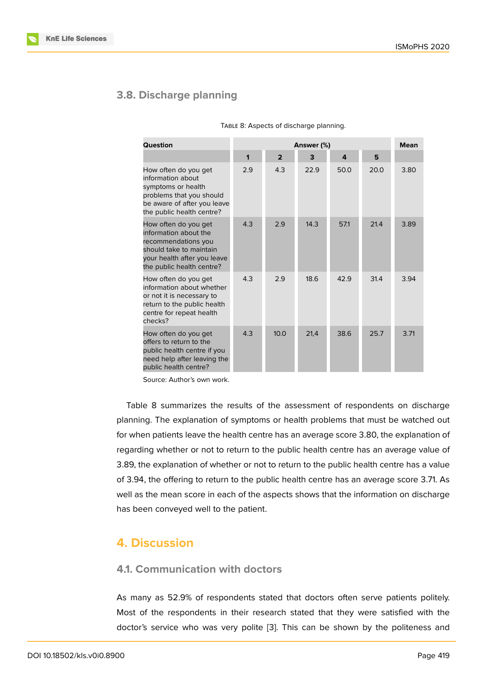#### **3.8. Discharge planning**

| Question                                                                                                                                                    |     |                | <b>Mean</b> |      |      |      |
|-------------------------------------------------------------------------------------------------------------------------------------------------------------|-----|----------------|-------------|------|------|------|
|                                                                                                                                                             | 1   | $\overline{2}$ | 3           | 4    | 5    |      |
| How often do you get<br>information about<br>symptoms or health<br>problems that you should<br>be aware of after you leave<br>the public health centre?     | 2.9 | 4.3            | 22.9        | 50.0 | 20.0 | 3.80 |
| How often do you get<br>information about the<br>recommendations you<br>should take to maintain<br>your health after you leave<br>the public health centre? | 4.3 | 2.9            | 14.3        | 57.1 | 21.4 | 3.89 |
| How often do you get<br>information about whether<br>or not it is necessary to<br>return to the public health<br>centre for repeat health<br>checks?        | 4.3 | 2.9            | 18.6        | 42.9 | 31.4 | 3.94 |
| How often do you get<br>offers to return to the<br>public health centre if you<br>need help after leaving the<br>public health centre?                      | 4.3 | 10.0           | 21,4        | 38.6 | 25.7 | 3.71 |

Source: Author's own work.

Table 8 summarizes the results of the assessment of respondents on discharge planning. The explanation of symptoms or health problems that must be watched out for when patients leave the health centre has an average score 3.80, the explanation of regarding whether or not to return to the public health centre has an average value of 3.89, the explanation of whether or not to return to the public health centre has a value of 3.94, the offering to return to the public health centre has an average score 3.71. As well as the mean score in each of the aspects shows that the information on discharge has been conveyed well to the patient.

# **4. Discussion**

### **4.1. Communication with doctors**

As many as 52.9% of respondents stated that doctors often serve patients politely. Most of the respondents in their research stated that they were satisfied with the doctor's service who was very polite [3]. This can be shown by the politeness and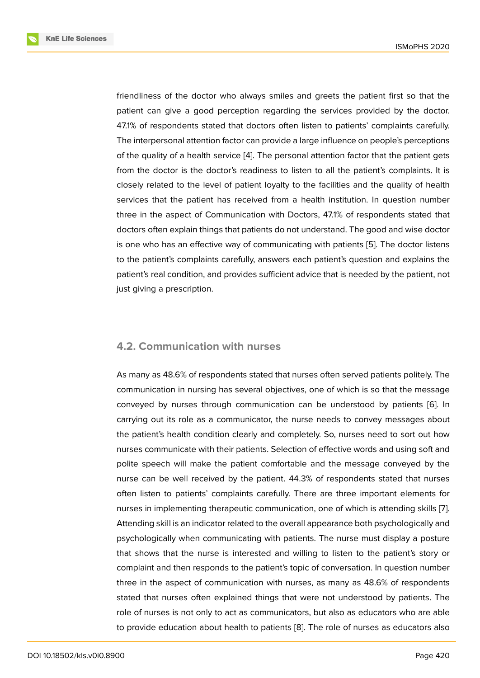friendliness of the doctor who always smiles and greets the patient first so that the patient can give a good perception regarding the services provided by the doctor. 47.1% of respondents stated that doctors often listen to patients' complaints carefully. The interpersonal attention factor can provide a large influence on people's perceptions of the quality of a health service [4]. The personal attention factor that the patient gets from the doctor is the doctor's readiness to listen to all the patient's complaints. It is closely related to the level of patient loyalty to the facilities and the quality of health services that the patient has re[ce](#page-12-2)ived from a health institution. In question number three in the aspect of Communication with Doctors, 47.1% of respondents stated that doctors often explain things that patients do not understand. The good and wise doctor is one who has an effective way of communicating with patients [5]. The doctor listens to the patient's complaints carefully, answers each patient's question and explains the patient's real condition, and provides sufficient advice that is needed by the patient, not just giving a prescription.

#### **4.2. Communication with nurses**

As many as 48.6% of respondents stated that nurses often served patients politely. The communication in nursing has several objectives, one of which is so that the message conveyed by nurses through communication can be understood by patients [6]. In carrying out its role as a communicator, the nurse needs to convey messages about the patient's health condition clearly and completely. So, nurses need to sort out how nurses communicate with their patients. Selection of effective words and using so[ft](#page-13-0) and polite speech will make the patient comfortable and the message conveyed by the nurse can be well received by the patient. 44.3% of respondents stated that nurses often listen to patients' complaints carefully. There are three important elements for nurses in implementing therapeutic communication, one of which is attending skills [7]. Attending skill is an indicator related to the overall appearance both psychologically and psychologically when communicating with patients. The nurse must display a posture that shows that the nurse is interested and willing to listen to the patient's story [o](#page-13-1)r complaint and then responds to the patient's topic of conversation. In question number three in the aspect of communication with nurses, as many as 48.6% of respondents stated that nurses often explained things that were not understood by patients. The role of nurses is not only to act as communicators, but also as educators who are able to provide education about health to patients [8]. The role of nurses as educators also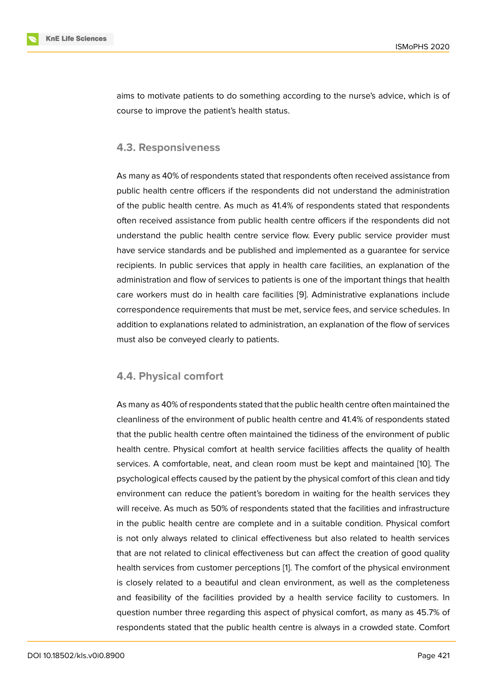aims to motivate patients to do something according to the nurse's advice, which is of course to improve the patient's health status.

#### **4.3. Responsiveness**

As many as 40% of respondents stated that respondents often received assistance from public health centre officers if the respondents did not understand the administration of the public health centre. As much as 41.4% of respondents stated that respondents often received assistance from public health centre officers if the respondents did not understand the public health centre service flow. Every public service provider must have service standards and be published and implemented as a guarantee for service recipients. In public services that apply in health care facilities, an explanation of the administration and flow of services to patients is one of the important things that health care workers must do in health care facilities [9]. Administrative explanations include correspondence requirements that must be met, service fees, and service schedules. In addition to explanations related to administration, an explanation of the flow of services must also be conveyed clearly to patients.

#### **4.4. Physical comfort**

As many as 40% of respondents stated that the public health centre often maintained the cleanliness of the environment of public health centre and 41.4% of respondents stated that the public health centre often maintained the tidiness of the environment of public health centre. Physical comfort at health service facilities affects the quality of health services. A comfortable, neat, and clean room must be kept and maintained [10]. The psychological effects caused by the patient by the physical comfort of this clean and tidy environment can reduce the patient's boredom in waiting for the health services they will receive. As much as 50% of respondents stated that the facilities and infra[stru](#page-13-2)cture in the public health centre are complete and in a suitable condition. Physical comfort is not only always related to clinical effectiveness but also related to health services that are not related to clinical effectiveness but can affect the creation of good quality health services from customer perceptions [1]. The comfort of the physical environment is closely related to a beautiful and clean environment, as well as the completeness and feasibility of the facilities provided by a health service facility to customers. In question number three regarding this aspe[ct](#page-12-0) of physical comfort, as many as 45.7% of respondents stated that the public health centre is always in a crowded state. Comfort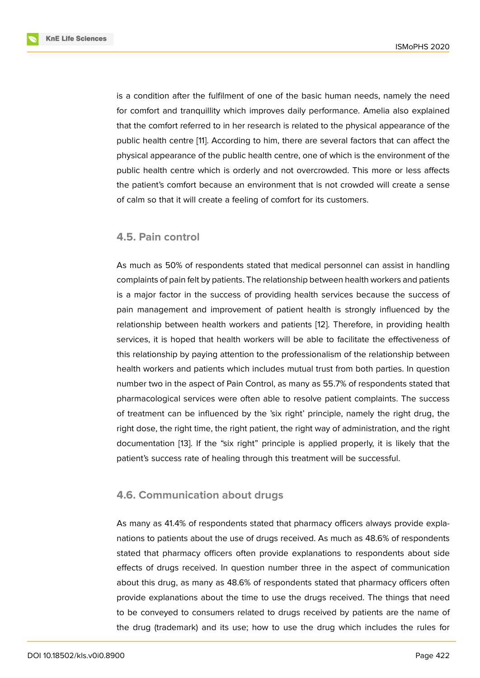is a condition after the fulfilment of one of the basic human needs, namely the need for comfort and tranquillity which improves daily performance. Amelia also explained that the comfort referred to in her research is related to the physical appearance of the public health centre [11]. According to him, there are several factors that can affect the physical appearance of the public health centre, one of which is the environment of the public health centre which is orderly and not overcrowded. This more or less affects the patient's comfort [be](#page-13-3)cause an environment that is not crowded will create a sense of calm so that it will create a feeling of comfort for its customers.

#### **4.5. Pain control**

As much as 50% of respondents stated that medical personnel can assist in handling complaints of pain felt by patients. The relationship between health workers and patients is a major factor in the success of providing health services because the success of pain management and improvement of patient health is strongly influenced by the relationship between health workers and patients [12]. Therefore, in providing health services, it is hoped that health workers will be able to facilitate the effectiveness of this relationship by paying attention to the professionalism of the relationship between health workers and patients which includes mutual [tru](#page-13-4)st from both parties. In question number two in the aspect of Pain Control, as many as 55.7% of respondents stated that pharmacological services were often able to resolve patient complaints. The success of treatment can be influenced by the 'six right' principle, namely the right drug, the right dose, the right time, the right patient, the right way of administration, and the right documentation [13]. If the "six right" principle is applied properly, it is likely that the patient's success rate of healing through this treatment will be successful.

#### **4.6. Communication about drugs**

As many as 41.4% of respondents stated that pharmacy officers always provide explanations to patients about the use of drugs received. As much as 48.6% of respondents stated that pharmacy officers often provide explanations to respondents about side effects of drugs received. In question number three in the aspect of communication about this drug, as many as 48.6% of respondents stated that pharmacy officers often provide explanations about the time to use the drugs received. The things that need to be conveyed to consumers related to drugs received by patients are the name of the drug (trademark) and its use; how to use the drug which includes the rules for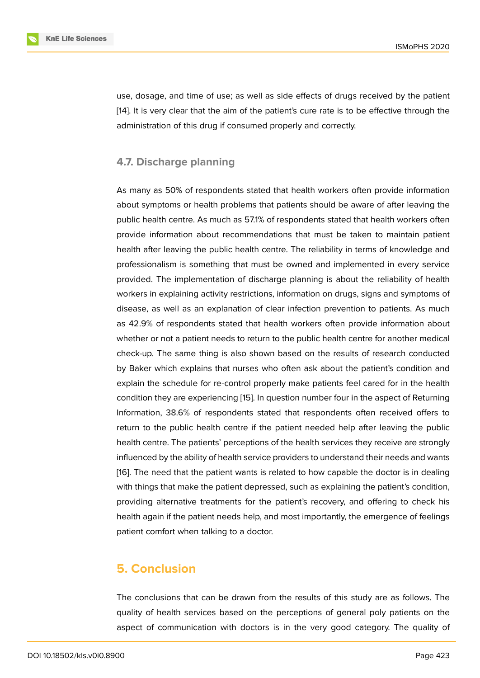use, dosage, and time of use; as well as side effects of drugs received by the patient [14]. It is very clear that the aim of the patient's cure rate is to be effective through the administration of this drug if consumed properly and correctly.

### **4.7. Discharge planning**

As many as 50% of respondents stated that health workers often provide information about symptoms or health problems that patients should be aware of after leaving the public health centre. As much as 57.1% of respondents stated that health workers often provide information about recommendations that must be taken to maintain patient health after leaving the public health centre. The reliability in terms of knowledge and professionalism is something that must be owned and implemented in every service provided. The implementation of discharge planning is about the reliability of health workers in explaining activity restrictions, information on drugs, signs and symptoms of disease, as well as an explanation of clear infection prevention to patients. As much as 42.9% of respondents stated that health workers often provide information about whether or not a patient needs to return to the public health centre for another medical check-up. The same thing is also shown based on the results of research conducted by Baker which explains that nurses who often ask about the patient's condition and explain the schedule for re-control properly make patients feel cared for in the health condition they are experiencing [15]. In question number four in the aspect of Returning Information, 38.6% of respondents stated that respondents often received offers to return to the public health centre if the patient needed help after leaving the public health centre. The patients' perc[ept](#page-13-5)ions of the health services they receive are strongly influenced by the ability of health service providers to understand their needs and wants [16]. The need that the patient wants is related to how capable the doctor is in dealing with things that make the patient depressed, such as explaining the patient's condition, providing alternative treatments for the patient's recovery, and offering to check his [hea](#page-13-6)lth again if the patient needs help, and most importantly, the emergence of feelings patient comfort when talking to a doctor.

# **5. Conclusion**

The conclusions that can be drawn from the results of this study are as follows. The quality of health services based on the perceptions of general poly patients on the aspect of communication with doctors is in the very good category. The quality of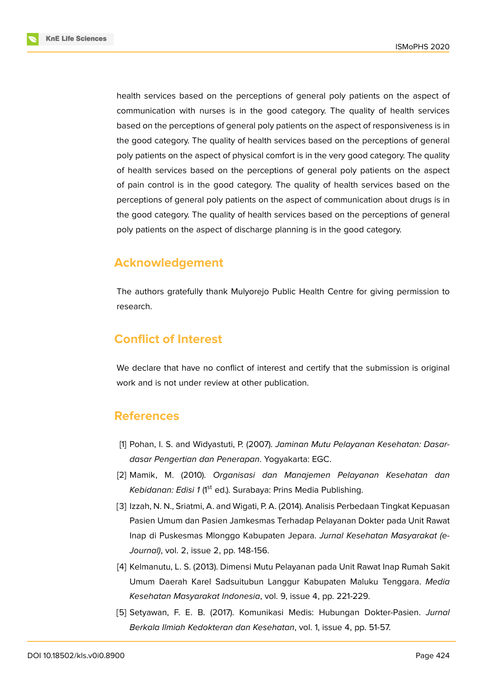**KnE Life Sciences** 



health services based on the perceptions of general poly patients on the aspect of communication with nurses is in the good category. The quality of health services based on the perceptions of general poly patients on the aspect of responsiveness is in the good category. The quality of health services based on the perceptions of general poly patients on the aspect of physical comfort is in the very good category. The quality of health services based on the perceptions of general poly patients on the aspect of pain control is in the good category. The quality of health services based on the perceptions of general poly patients on the aspect of communication about drugs is in the good category. The quality of health services based on the perceptions of general poly patients on the aspect of discharge planning is in the good category.

# **Acknowledgement**

The authors gratefully thank Mulyorejo Public Health Centre for giving permission to research.

# **Conflict of Interest**

We declare that have no conflict of interest and certify that the submission is original work and is not under review at other publication.

# **References**

- <span id="page-12-0"></span>[1] Pohan, I. S. and Widyastuti, P. (2007). *Jaminan Mutu Pelayanan Kesehatan: Dasardasar Pengertian dan Penerapan*. Yogyakarta: EGC.
- <span id="page-12-1"></span>[2] Mamik, M. (2010). *Organisasi dan Manajemen Pelayanan Kesehatan dan* Kebidanan: Edisi 1 (1<sup>st</sup> ed.). Surabaya: Prins Media Publishing.
- [3] Izzah, N. N., Sriatmi, A. and Wigati, P. A. (2014). Analisis Perbedaan Tingkat Kepuasan Pasien Umum dan Pasien Jamkesmas Terhadap Pelayanan Dokter pada Unit Rawat Inap di Puskesmas Mlonggo Kabupaten Jepara. *Jurnal Kesehatan Masyarakat (e-Journal)*, vol. 2, issue 2, pp. 148-156.
- <span id="page-12-2"></span>[4] Kelmanutu, L. S. (2013). Dimensi Mutu Pelayanan pada Unit Rawat Inap Rumah Sakit Umum Daerah Karel Sadsuitubun Langgur Kabupaten Maluku Tenggara. *Media Kesehatan Masyarakat Indonesia*, vol. 9, issue 4, pp. 221-229.
- [5] Setyawan, F. E. B. (2017). Komunikasi Medis: Hubungan Dokter-Pasien. *Jurnal Berkala Ilmiah Kedokteran dan Kesehatan*, vol. 1, issue 4, pp. 51-57.